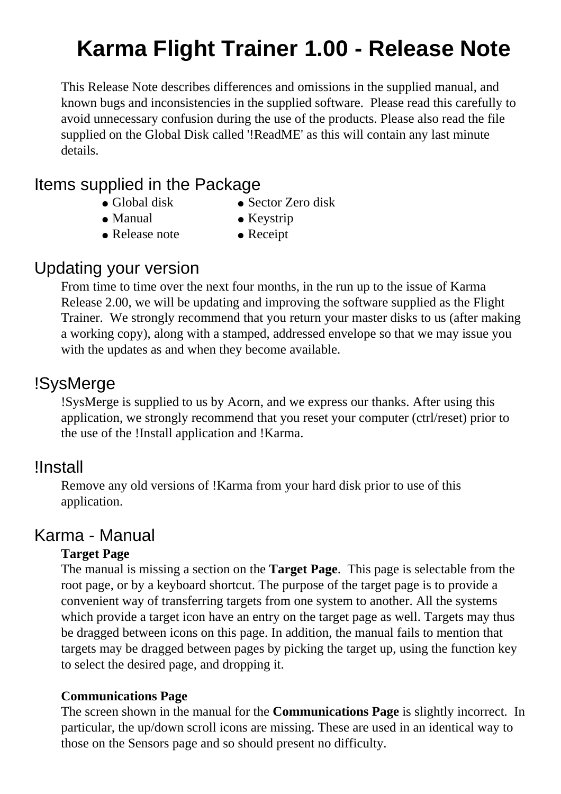# **Karma Flight Trainer 1.00 - Release Note**

This Release Note describes differences and omissions in the supplied manual, and known bugs and inconsistencies in the supplied software. Please read this carefully to avoid unnecessary confusion during the use of the products. Please also read the file supplied on the Global Disk called '!ReadME' as this will contain any last minute details.

## Items supplied in the Package

- 
- Global disk Sector Zero disk
- 
- $\bullet$  Manual  $\bullet$  Keystrip
- $\bullet$  Release note  $\bullet$  Receipt

## Updating your version

From time to time over the next four months, in the run up to the issue of Karma Release 2.00, we will be updating and improving the software supplied as the Flight Trainer. We strongly recommend that you return your master disks to us (after making a working copy), along with a stamped, addressed envelope so that we may issue you with the updates as and when they become available.

# !SysMerge

!SysMerge is supplied to us by Acorn, and we express our thanks. After using this application, we strongly recommend that you reset your computer (ctrl/reset) prior to the use of the !Install application and !Karma.

### !Install

Remove any old versions of !Karma from your hard disk prior to use of this application.

## Karma - Manual

#### **Target Page**

The manual is missing a section on the **Target Page**. This page is selectable from the root page, or by a keyboard shortcut. The purpose of the target page is to provide a convenient way of transferring targets from one system to another. All the systems which provide a target icon have an entry on the target page as well. Targets may thus be dragged between icons on this page. In addition, the manual fails to mention that targets may be dragged between pages by picking the target up, using the function key to select the desired page, and dropping it.

#### **Communications Page**

The screen shown in the manual for the **Communications Page** is slightly incorrect. In particular, the up/down scroll icons are missing. These are used in an identical way to those on the Sensors page and so should present no difficulty.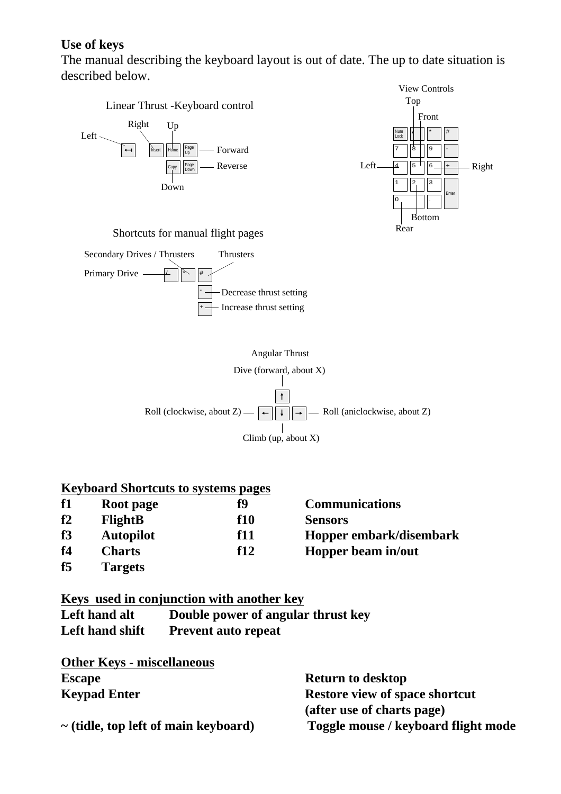#### **Use of keys**

The manual describing the keyboard layout is out of date. The up to date situation is described below.



| f1             | Root page        | f9  | <b>Communications</b>   |
|----------------|------------------|-----|-------------------------|
| f2             | <b>FlightB</b>   | f10 | <b>Sensors</b>          |
| f3             | <b>Autopilot</b> | f11 | Hopper embark/disembark |
| f <sub>4</sub> | <b>Charts</b>    | f12 | Hopper beam in/out      |
| f5             | <b>Targets</b>   |     |                         |

#### **Keys used in conjunction with another key**

| Left hand alt   | Double power of angular thrust key |
|-----------------|------------------------------------|
| Left hand shift | <b>Prevent auto repeat</b>         |

| <b>Other Keys - miscellaneous</b>         |                                     |
|-------------------------------------------|-------------------------------------|
| <b>Escape</b>                             | <b>Return to desktop</b>            |
| <b>Keypad Enter</b>                       | Restore view of space shortcut      |
|                                           | (after use of charts page)          |
| $\sim$ (tidle, top left of main keyboard) | Toggle mouse / keyboard flight mode |